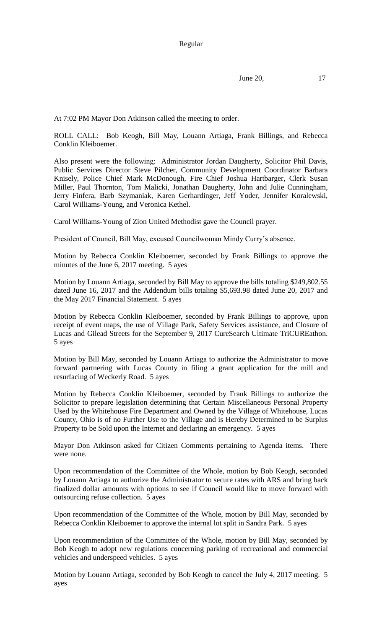Regular

June 20, 17

At 7:02 PM Mayor Don Atkinson called the meeting to order.

ROLL CALL: Bob Keogh, Bill May, Louann Artiaga, Frank Billings, and Rebecca Conklin Kleiboemer.

Also present were the following: Administrator Jordan Daugherty, Solicitor Phil Davis, Public Services Director Steve Pilcher, Community Development Coordinator Barbara Knisely, Police Chief Mark McDonough, Fire Chief Joshua Hartbarger, Clerk Susan Miller, Paul Thornton, Tom Malicki, Jonathan Daugherty, John and Julie Cunningham, Jerry Finfera, Barb Szymaniak, Karen Gerhardinger, Jeff Yoder, Jennifer Koralewski, Carol Williams-Young, and Veronica Kethel.

Carol Williams-Young of Zion United Methodist gave the Council prayer.

President of Council, Bill May, excused Councilwoman Mindy Curry's absence.

Motion by Rebecca Conklin Kleiboemer, seconded by Frank Billings to approve the minutes of the June 6, 2017 meeting. 5 ayes

Motion by Louann Artiaga, seconded by Bill May to approve the bills totaling \$249,802.55 dated June 16, 2017 and the Addendum bills totaling \$5,693.98 dated June 20, 2017 and the May 2017 Financial Statement. 5 ayes

Motion by Rebecca Conklin Kleiboemer, seconded by Frank Billings to approve, upon receipt of event maps, the use of Village Park, Safety Services assistance, and Closure of Lucas and Gilead Streets for the September 9, 2017 CureSearch Ultimate TriCUREathon. 5 ayes

Motion by Bill May, seconded by Louann Artiaga to authorize the Administrator to move forward partnering with Lucas County in filing a grant application for the mill and resurfacing of Weckerly Road. 5 ayes

Motion by Rebecca Conklin Kleiboemer, seconded by Frank Billings to authorize the Solicitor to prepare legislation determining that Certain Miscellaneous Personal Property Used by the Whitehouse Fire Department and Owned by the Village of Whitehouse, Lucas County, Ohio is of no Further Use to the Village and is Hereby Determined to be Surplus Property to be Sold upon the Internet and declaring an emergency. 5 ayes

Mayor Don Atkinson asked for Citizen Comments pertaining to Agenda items. There were none.

Upon recommendation of the Committee of the Whole, motion by Bob Keogh, seconded by Louann Artiaga to authorize the Administrator to secure rates with ARS and bring back finalized dollar amounts with options to see if Council would like to move forward with outsourcing refuse collection. 5 ayes

Upon recommendation of the Committee of the Whole, motion by Bill May, seconded by Rebecca Conklin Kleiboemer to approve the internal lot split in Sandra Park. 5 ayes

Upon recommendation of the Committee of the Whole, motion by Bill May, seconded by Bob Keogh to adopt new regulations concerning parking of recreational and commercial vehicles and underspeed vehicles. 5 ayes

Motion by Louann Artiaga, seconded by Bob Keogh to cancel the July 4, 2017 meeting. 5 ayes